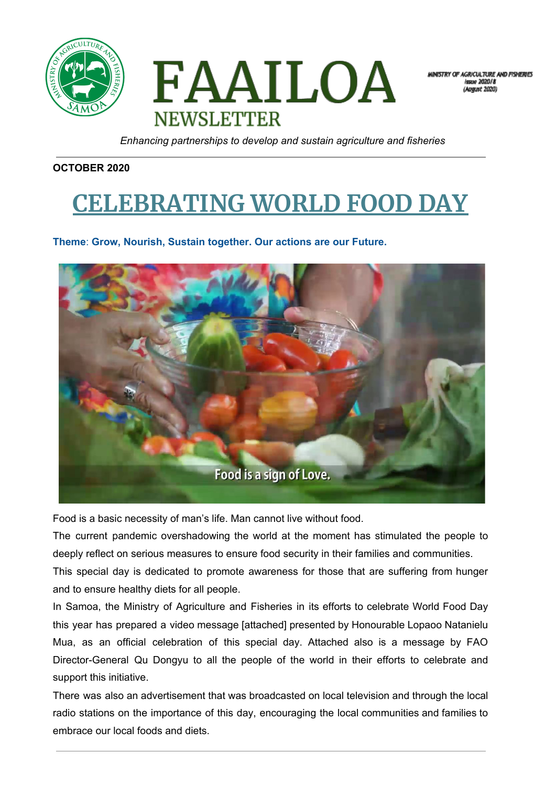



MINISTRY OF AGRICULTURE AND FISHERIES **Jeane 2020/8** 

*Enhancing partnerships to develop and sustain agriculture and fisheries*

#### **OCTOBER 2020**

# **CELEBRATING WORLD FOOD DAY**

#### **Theme**: **Grow, Nourish, Sustain together. Our actions are our Future.**



Food is a basic necessity of man's life. Man cannot live without food.

The current pandemic overshadowing the world at the moment has stimulated the people to deeply reflect on serious measures to ensure food security in their families and communities.

This special day is dedicated to promote awareness for those that are suffering from hunger and to ensure healthy diets for all people.

In Samoa, the Ministry of Agriculture and Fisheries in its efforts to celebrate World Food Day this year has prepared a video message [attached] presented by Honourable Lopaoo Natanielu Mua, as an official celebration of this special day. Attached also is a message by FAO Director-General Qu Dongyu to all the people of the world in their efforts to celebrate and support this initiative.

There was also an advertisement that was broadcasted on local television and through the local radio stations on the importance of this day, encouraging the local communities and families to embrace our local foods and diets.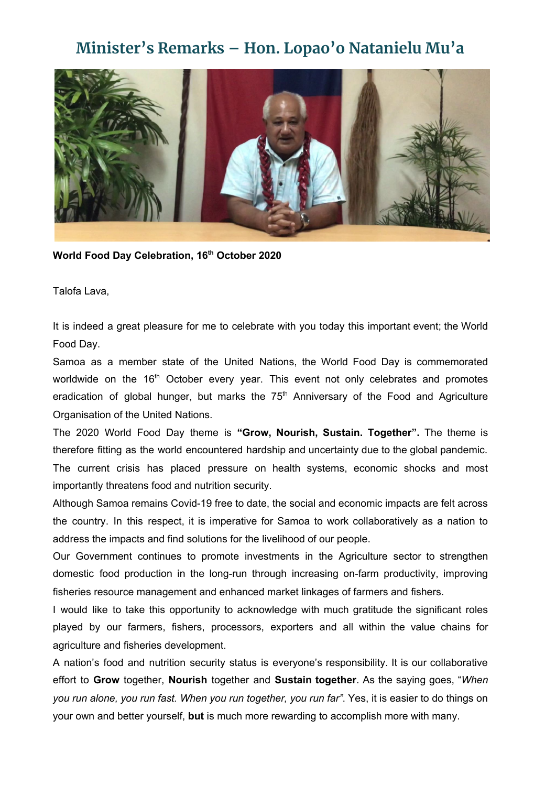### **Minister's Remarks – Hon. Lopao'o Natanielu Mu'a**



**World Food Day Celebration, 16 th October 2020**

Talofa Lava,

It is indeed a great pleasure for me to celebrate with you today this important event; the World Food Day.

Samoa as a member state of the United Nations, the World Food Day is commemorated worldwide on the 16<sup>th</sup> October every year. This event not only celebrates and promotes eradication of global hunger, but marks the  $75<sup>th</sup>$  Anniversary of the Food and Agriculture Organisation of the United Nations.

The 2020 World Food Day theme is **"Grow, Nourish, Sustain. Together".** The theme is therefore fitting as the world encountered hardship and uncertainty due to the global pandemic. The current crisis has placed pressure on health systems, economic shocks and most importantly threatens food and nutrition security.

Although Samoa remains Covid-19 free to date, the social and economic impacts are felt across the country. In this respect, it is imperative for Samoa to work collaboratively as a nation to address the impacts and find solutions for the livelihood of our people.

Our Government continues to promote investments in the Agriculture sector to strengthen domestic food production in the long-run through increasing on-farm productivity, improving fisheries resource management and enhanced market linkages of farmers and fishers.

I would like to take this opportunity to acknowledge with much gratitude the significant roles played by our farmers, fishers, processors, exporters and all within the value chains for agriculture and fisheries development.

A nation's food and nutrition security status is everyone's responsibility. It is our collaborative effort to **Grow** together, **Nourish** together and **Sustain together**. As the saying goes, "*When you run alone, you run fast. When you run together, you run far"*. Yes, it is easier to do things on your own and better yourself, **but** is much more rewarding to accomplish more with many.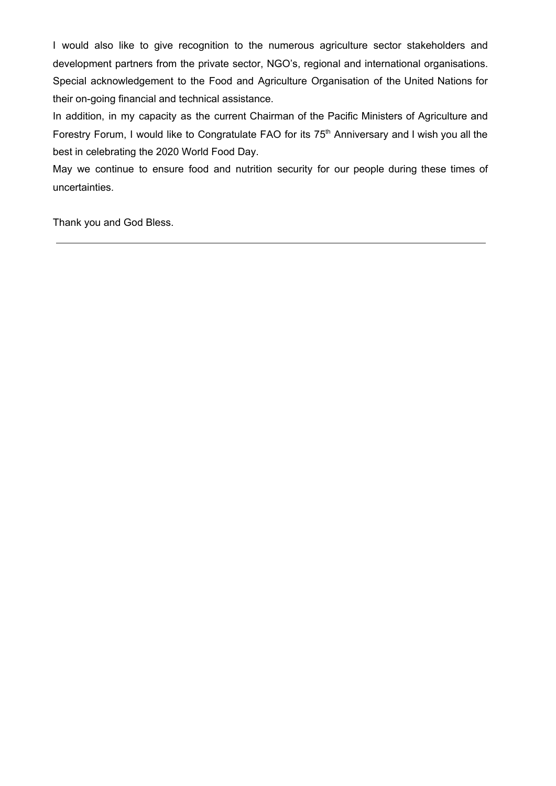I would also like to give recognition to the numerous agriculture sector stakeholders and development partners from the private sector, NGO's, regional and international organisations. Special acknowledgement to the Food and Agriculture Organisation of the United Nations for their on-going financial and technical assistance.

In addition, in my capacity as the current Chairman of the Pacific Ministers of Agriculture and Forestry Forum, I would like to Congratulate FAO for its 75<sup>th</sup> Anniversary and I wish you all the best in celebrating the 2020 World Food Day.

May we continue to ensure food and nutrition security for our people during these times of uncertainties.

Thank you and God Bless.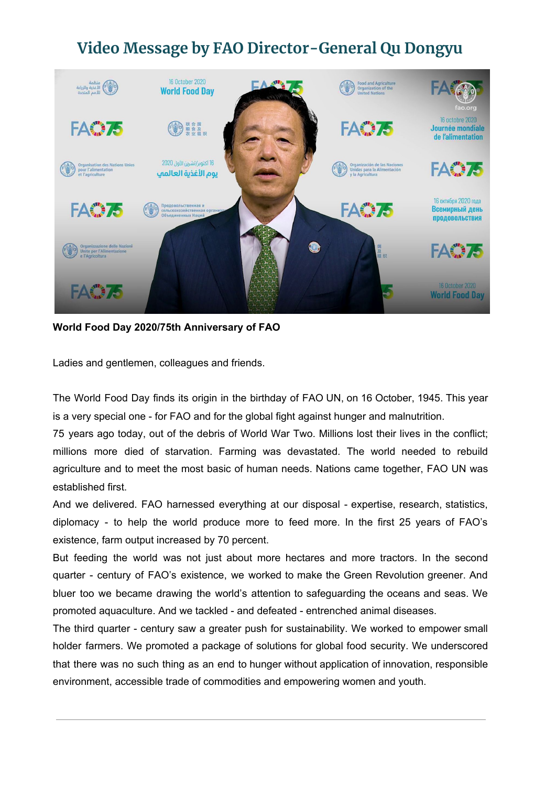## **Video Message by FAO Director-General Qu Dongyu**



**World Food Day 2020/75th Anniversary of FAO**

Ladies and gentlemen, colleagues and friends.

The World Food Day finds its origin in the birthday of FAO UN, on 16 October, 1945. This year is a very special one - for FAO and for the global fight against hunger and malnutrition.

75 years ago today, out of the debris of World War Two. Millions lost their lives in the conflict; millions more died of starvation. Farming was devastated. The world needed to rebuild agriculture and to meet the most basic of human needs. Nations came together, FAO UN was established first.

And we delivered. FAO harnessed everything at our disposal - expertise, research, statistics, diplomacy - to help the world produce more to feed more. In the first 25 years of FAO's existence, farm output increased by 70 percent.

But feeding the world was not just about more hectares and more tractors. In the second quarter - century of FAO's existence, we worked to make the Green Revolution greener. And bluer too we became drawing the world's attention to safeguarding the oceans and seas. We promoted aquaculture. And we tackled - and defeated - entrenched animal diseases.

The third quarter - century saw a greater push for sustainability. We worked to empower small holder farmers. We promoted a package of solutions for global food security. We underscored that there was no such thing as an end to hunger without application of innovation, responsible environment, accessible trade of commodities and empowering women and youth.